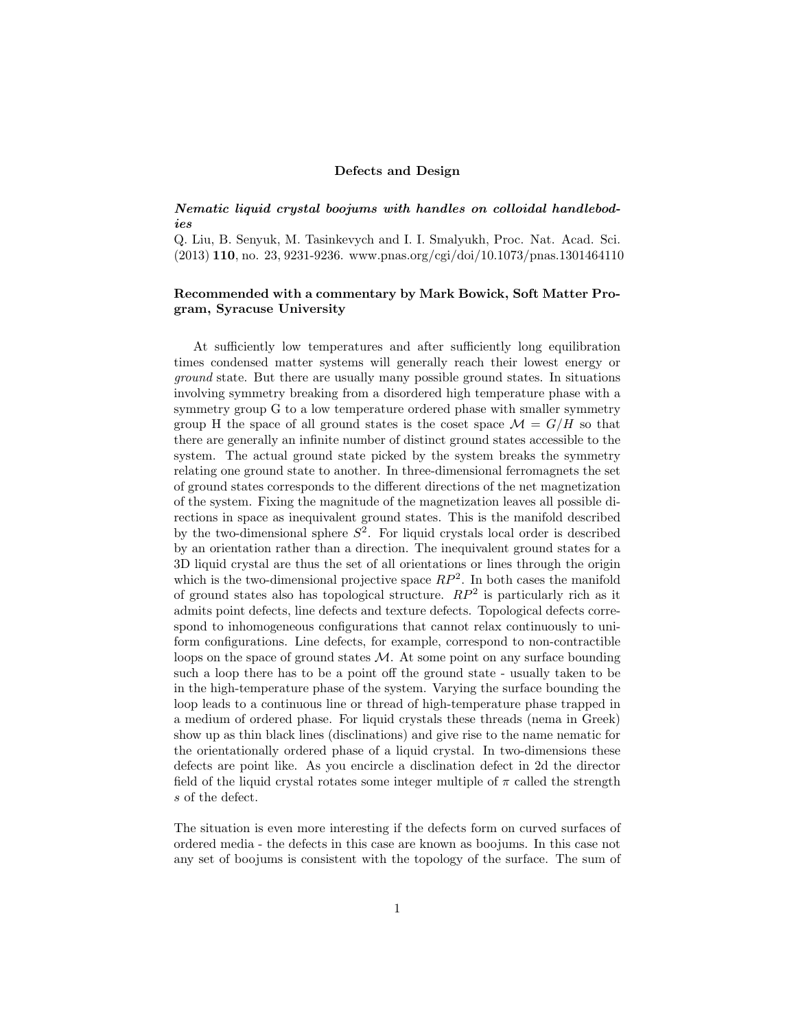## Defects and Design

## *Nematic liquid crystal boojums with handles on colloidal handlebodies*

Q. Liu, B. Senyuk, M. Tasinkevych and I. I. Smalyukh, Proc. Nat. Acad. Sci. (2013) 110, no. 23, 9231-9236. www.pnas.org/cgi/doi/10.1073/pnas.1301464110

## Recommended with a commentary by Mark Bowick, Soft Matter Program, Syracuse University

At sufficiently low temperatures and after sufficiently long equilibration times condensed matter systems will generally reach their lowest energy or *ground* state. But there are usually many possible ground states. In situations involving symmetry breaking from a disordered high temperature phase with a symmetry group G to a low temperature ordered phase with smaller symmetry group H the space of all ground states is the coset space  $\mathcal{M} = G/H$  so that there are generally an infinite number of distinct ground states accessible to the system. The actual ground state picked by the system breaks the symmetry relating one ground state to another. In three-dimensional ferromagnets the set of ground states corresponds to the different directions of the net magnetization of the system. Fixing the magnitude of the magnetization leaves all possible directions in space as inequivalent ground states. This is the manifold described by the two-dimensional sphere  $S^2$ . For liquid crystals local order is described by an orientation rather than a direction. The inequivalent ground states for a 3D liquid crystal are thus the set of all orientations or lines through the origin which is the two-dimensional projective space  $RP^2$ . In both cases the manifold of ground states also has topological structure. *RP*<sup>2</sup> is particularly rich as it admits point defects, line defects and texture defects. Topological defects correspond to inhomogeneous configurations that cannot relax continuously to uniform configurations. Line defects, for example, correspond to non-contractible loops on the space of ground states *M*. At some point on any surface bounding such a loop there has to be a point off the ground state - usually taken to be in the high-temperature phase of the system. Varying the surface bounding the loop leads to a continuous line or thread of high-temperature phase trapped in a medium of ordered phase. For liquid crystals these threads (nema in Greek) show up as thin black lines (disclinations) and give rise to the name nematic for the orientationally ordered phase of a liquid crystal. In two-dimensions these defects are point like. As you encircle a disclination defect in 2d the director field of the liquid crystal rotates some integer multiple of  $\pi$  called the strength *s* of the defect.

The situation is even more interesting if the defects form on curved surfaces of ordered media - the defects in this case are known as boojums. In this case not any set of boojums is consistent with the topology of the surface. The sum of